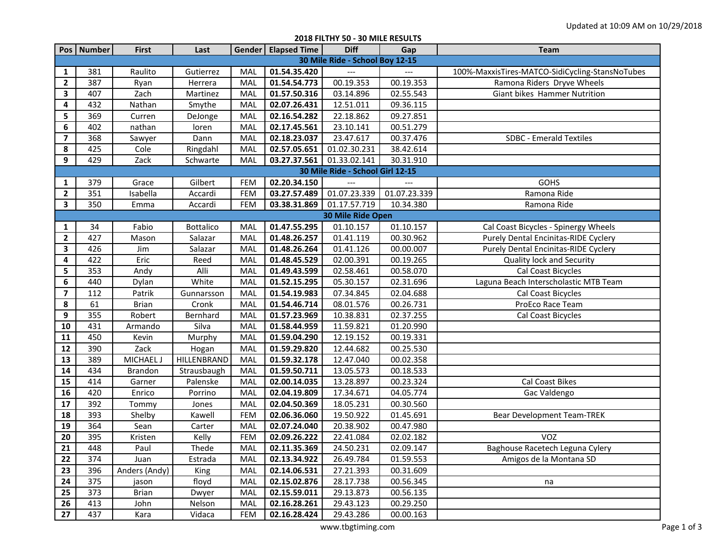**Pos Number First Last Gender Elapsed Time Diff Gap Team** 1 381 Raulito Gutierrez MAL 01.54.35.420 --- 1 --- 100%-MaxxisTires-MATCO-SidiCycling-StansNoTubes 387 Ryan Herrera MAL 01.54.54.773 00.19.353 00.19.353 Ramona Riders Dryve Wheels 407 Zach Martinez MAL 01.57.50.316 03.14.896 02.55.543 Giant bikes Hammer Nutrition 432 Nathan Smythe MAL **02.07.26.431** 12.51.011 09.36.115 369 Curren DeJonge MAL **02.16.54.282** 22.18.862 09.27.851 402 nathan loren MAL **02.17.45.561** 23.10.141 00.51.279 368 Sawyer Dann MAL 02.18.23.037 23.47.617 00.37.476 SDBC - Emerald Textiles 425 Cole Ringdahl MAL **02.57.05.651** 01.02.30.231 38.42.614 429 Zack Schwarte MAL 03.27.37.561 01.33.02.141 30.31.910 | 379 | Grace | Gilbert | FEM | **02.20.34.150** | --- | --- | --- | GOHS | 351 | Isabella | Accardi | FEM | **03.27.57.489** | 01.07.23.339 | 01.07.23.339 | Ramona Ride | 350 | Emma | Accardi | FEM | **03.38.31.869** | 01.17.57.719 | 10.34.380 | Ramona Ride 34 Fabio Bottalico MAL 01.47.55.295 01.10.157 01.10.157 Cal Coast Bicycles - Spinergy Wheels 427 Mason Salazar MAL 01.48.26.257 01.41.119 00.30.962 Purely Dental Encinitas-RIDE Cyclery 426 Jim Salazar MAL 01.48.26.264 01.41.126 00.00.007 Purely Dental Encinitas-RIDE Cyclery 422 Eric Reed MAL **01.48.45.529** 02.00.391 00.19.265 Quality lock and Security 353 Andy Alli | MAL 01.49.43.599 02.58.461 00.58.070 Cal Coast Bicycles 440 Dylan White MAL **01.52.15.295** 05.30.157 02.31.696 Laguna Beach Interscholastic MTB Team | 112 | Patrik | Gunnarsson | MAL | **01.54.19.983** | 07.34.845 | 02.04.688 | Cal Coast Bicycles 61 Brian Cronk MAL 01.54.46.714 08.01.576 00.26.731 ProEco Race Team 355 Robert Bernhard MAL **01.57.23.969** 10.38.831 02.37.255 Cal Coast Bicycles 431 | Armando | Silva | MAL | **01.58.44.959** | 11.59.821 | 01.20.990 450 Kevin Murphy MAL 01.59.04.290 12.19.152 00.19.331 390 Zack Hogan MAL **01.59.29.820** 12.44.682 00.25.530 13 389 | MICHAEL J HILLENBRAND | MAL | 01.59.32.178 | 12.47.040 | 00.02.358 434 | Brandon | Strausbaugh | MAL | **01.59.50.711** | 13.05.573 | 00.18.533 | 414 | Garner | Palenske | MAL | **02.00.14.035** | 13.28.897 | 00.23.324 | Cal Coast Bikes | 420 | Enrico | Porrino | MAL | **02.04.19.809** | 17.34.671 | 04.05.774 | Gac Valdengo 392 Tommy Jones MAL **02.04.50.369** 18.05.231 00.30.560 393 Shelby Kawell FEM 02.06.36.060 19.50.922 01.45.691 Bear Development Team-TREK 364 Sean Carter MAL **02.07.24.040** 20.38.902 00.47.980 395 Kristen Kelly FEM **02.09.26.222** 22.41.084 02.02.182 VOZ 448 Paul Thede MAL **02.11.35.369** 24.50.231 02.09.147 Baghouse Racetech Leguna Cylery 374 Juan | Estrada | MAL | **02.13.34.922** | 26.49.784 | 01.59.553 | Amigos de la Montana SD 396 Anders (Andy) King MAL **02.14.06.531** 27.21.393 00.31.609 | 375 | jason | floyd | MAL | **02.15.02.876** | 28.17.738 | 00.56.345 | na 373 Brian Dwyer MAL 02.15.59.011 29.13.873 00.56.135 413 John Nelson MAL **02.16.28.261** 29.43.123 00.29.250 **30 Mile Ride - School Boy 12-15 30 Mile Ride - School Girl 12-15 30 Mile Ride Open**

## **2018 FILTHY 50 - 30 MILE RESULTS**

437 Kara Vidaca FEM **02.16.28.424** 29.43.286 00.00.163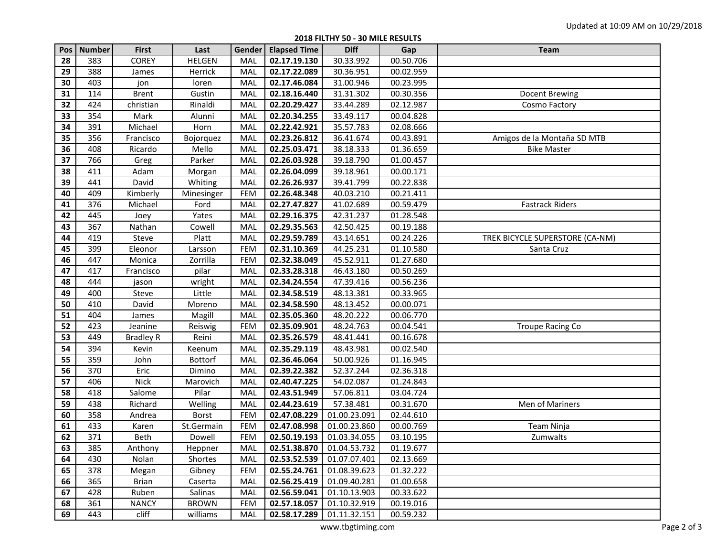**2018 FILTHY 50 - 30 MILE RESULTS**

| Pos | Number | <b>First</b>     | Last          | Gender     | <b>Elapsed Time</b>           | <b>Diff</b>  | Gap       | <b>Team</b>                     |
|-----|--------|------------------|---------------|------------|-------------------------------|--------------|-----------|---------------------------------|
| 28  | 383    | COREY            | <b>HELGEN</b> | MAL        | 02.17.19.130                  | 30.33.992    | 00.50.706 |                                 |
| 29  | 388    | James            | Herrick       | MAL        | 02.17.22.089                  | 30.36.951    | 00.02.959 |                                 |
| 30  | 403    | jon              | loren         | MAL        | 02.17.46.084                  | 31.00.946    | 00.23.995 |                                 |
| 31  | 114    | <b>Brent</b>     | Gustin        | MAL        | 02.18.16.440                  | 31.31.302    | 00.30.356 | Docent Brewing                  |
| 32  | 424    | christian        | Rinaldi       | MAL        | 02.20.29.427                  | 33.44.289    | 02.12.987 | Cosmo Factory                   |
| 33  | 354    | Mark             | Alunni        | MAL        | 02.20.34.255                  | 33.49.117    | 00.04.828 |                                 |
| 34  | 391    | Michael          | Horn          | MAL        | 02.22.42.921                  | 35.57.783    | 02.08.666 |                                 |
| 35  | 356    | Francisco        | Bojorquez     | MAL        | 02.23.26.812                  | 36.41.674    | 00.43.891 | Amigos de la Montaña SD MTB     |
| 36  | 408    | Ricardo          | Mello         | MAL        | 02.25.03.471                  | 38.18.333    | 01.36.659 | <b>Bike Master</b>              |
| 37  | 766    | Greg             | Parker        | <b>MAL</b> | 02.26.03.928                  | 39.18.790    | 01.00.457 |                                 |
| 38  | 411    | Adam             | Morgan        | MAL        | 02.26.04.099                  | 39.18.961    | 00.00.171 |                                 |
| 39  | 441    | David            | Whiting       | MAL        | 02.26.26.937                  | 39.41.799    | 00.22.838 |                                 |
| 40  | 409    | Kimberly         | Minesinger    | FEM        | 02.26.48.348                  | 40.03.210    | 00.21.411 |                                 |
| 41  | 376    | Michael          | Ford          | MAL        | 02.27.47.827                  | 41.02.689    | 00.59.479 | <b>Fastrack Riders</b>          |
| 42  | 445    | Joey             | Yates         | MAL        | 02.29.16.375                  | 42.31.237    | 01.28.548 |                                 |
| 43  | 367    | Nathan           | Cowell        | MAL        | 02.29.35.563                  | 42.50.425    | 00.19.188 |                                 |
| 44  | 419    | Steve            | Platt         | MAL        | 02.29.59.789                  | 43.14.651    | 00.24.226 | TREK BICYCLE SUPERSTORE (CA-NM) |
| 45  | 399    | Eleonor          | Larsson       | FEM        | 02.31.10.369                  | 44.25.231    | 01.10.580 | Santa Cruz                      |
| 46  | 447    | Monica           | Zorrilla      | <b>FEM</b> | 02.32.38.049                  | 45.52.911    | 01.27.680 |                                 |
| 47  | 417    | Francisco        | pilar         | MAL        | 02.33.28.318                  | 46.43.180    | 00.50.269 |                                 |
| 48  | 444    | jason            | wright        | MAL        | 02.34.24.554                  | 47.39.416    | 00.56.236 |                                 |
| 49  | 400    | Steve            | Little        | MAL        | 02.34.58.519                  | 48.13.381    | 00.33.965 |                                 |
| 50  | 410    | David            | Moreno        | MAL        | 02.34.58.590                  | 48.13.452    | 00.00.071 |                                 |
| 51  | 404    | James            | Magill        | MAL        | 02.35.05.360                  | 48.20.222    | 00.06.770 |                                 |
| 52  | 423    | Jeanine          | Reiswig       | <b>FEM</b> | 02.35.09.901                  | 48.24.763    | 00.04.541 | <b>Troupe Racing Co</b>         |
| 53  | 449    | <b>Bradley R</b> | Reini         | MAL        | 02.35.26.579                  | 48.41.441    | 00.16.678 |                                 |
| 54  | 394    | Kevin            | Keenum        | MAL        | 02.35.29.119                  | 48.43.981    | 00.02.540 |                                 |
| 55  | 359    | John             | Bottorf       | MAL        | 02.36.46.064                  | 50.00.926    | 01.16.945 |                                 |
| 56  | 370    | Eric             | Dimino        | MAL        | 02.39.22.382                  | 52.37.244    | 02.36.318 |                                 |
| 57  | 406    | <b>Nick</b>      | Marovich      | MAL        | 02.40.47.225                  | 54.02.087    | 01.24.843 |                                 |
| 58  | 418    | Salome           | Pilar         | MAL        | 02.43.51.949                  | 57.06.811    | 03.04.724 |                                 |
| 59  | 438    | Richard          | Welling       | MAL        | 02.44.23.619                  | 57.38.481    | 00.31.670 | Men of Mariners                 |
| 60  | 358    | Andrea           | <b>Borst</b>  | FEM        | 02.47.08.229                  | 01.00.23.091 | 02.44.610 |                                 |
| 61  | 433    | Karen            | St.Germain    | <b>FEM</b> | 02.47.08.998                  | 01.00.23.860 | 00.00.769 | Team Ninja                      |
| 62  | 371    | Beth             | Dowell        | FEM        | 02.50.19.193                  | 01.03.34.055 | 03.10.195 | Zumwalts                        |
| 63  | 385    | Anthony          | Heppner       |            | MAL 02.51.38.870 01.04.53.732 |              | 01.19.677 |                                 |
| 64  | 430    | Nolan            | Shortes       | MAL        | 02.53.52.539                  | 01.07.07.401 | 02.13.669 |                                 |
| 65  | 378    | Megan            | Gibney        | FEM        | 02.55.24.761                  | 01.08.39.623 | 01.32.222 |                                 |
| 66  | 365    | <b>Brian</b>     | Caserta       | MAL        | 02.56.25.419                  | 01.09.40.281 | 01.00.658 |                                 |
| 67  | 428    | Ruben            | Salinas       | MAL        | 02.56.59.041                  | 01.10.13.903 | 00.33.622 |                                 |
| 68  | 361    | <b>NANCY</b>     | <b>BROWN</b>  | FEM        | 02.57.18.057                  | 01.10.32.919 | 00.19.016 |                                 |
| 69  | 443    | cliff            | williams      | MAL        | 02.58.17.289                  | 01.11.32.151 | 00.59.232 |                                 |